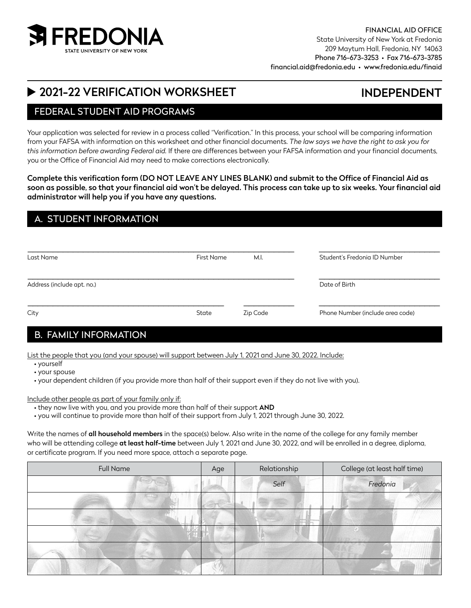

# INDEPENDENT

# ▶ 2021-22 VERIFICATION WORKSHEET

## FEDERAL STUDENT AID PROGRAMS

Your application was selected for review in a process called "Verification." In this process, your school will be comparing information from your FAFSA with information on this worksheet and other financial documents. *The law says we have the right to ask you for this information before awarding Federal aid.* If there are differences between your FAFSA information and your financial documents, you or the Office of Financial Aid may need to make corrections electronically.

Complete this verification form (DO NOT LEAVE ANY LINES BLANK) and submit to the Office of Financial Aid as soon as possible, so that your financial aid won't be delayed. This process can take up to six weeks. Your financial aid administrator will help you if you have any questions.

## A. STUDENT INFORMATION

| Last Name                  | <b>First Name</b> | M.I.     | Student's Fredonia ID Number     |
|----------------------------|-------------------|----------|----------------------------------|
| Address (include apt. no.) |                   |          | Date of Birth                    |
| City                       | State             | Zip Code | Phone Number (include area code) |

# B. FAMILY INFORMATION

List the people that you (and your spouse) will support between July 1, 2021 and June 30, 2022. Include:

- yourself
- your spouse
- your dependent children (if you provide more than half of their support even if they do not live with you).

Include other people as part of your family only if:

- they now live with you, and you provide more than half of their support AND
- you will continue to provide more than half of their support from July 1, 2021 through June 30, 2022.

Write the names of all household members in the space(s) below. Also write in the name of the college for any family member who will be attending college at least half-time between July 1, 2021 and June 30, 2022, and will be enrolled in a degree, diploma, or certificate program. If you need more space, attach a separate page.

| <b>Full Name</b> | Age | Relationship | College (at least half time) |
|------------------|-----|--------------|------------------------------|
|                  |     | Self         | Fredonia                     |
|                  |     |              |                              |
|                  |     |              |                              |
|                  |     |              |                              |
|                  |     |              |                              |
|                  |     |              |                              |